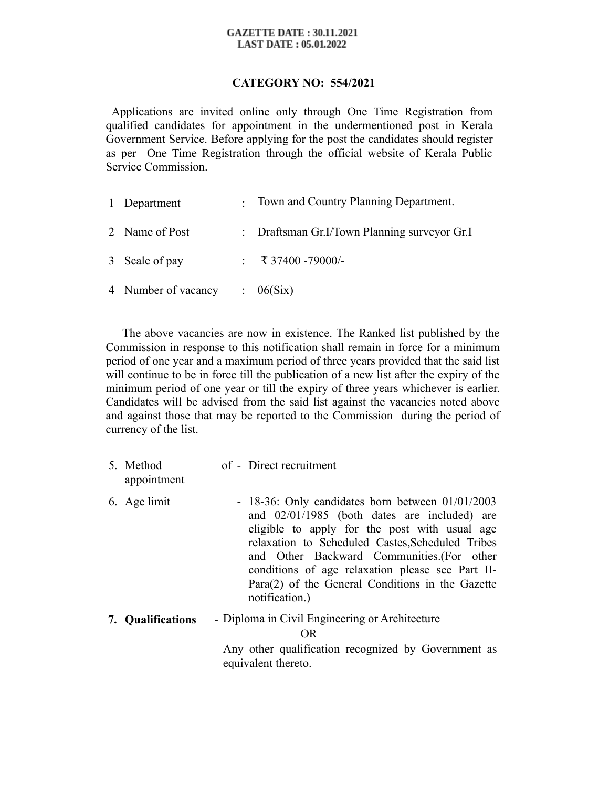#### **GAZETTE DATE: 30.11.2021 LAST DATE: 05.01.2022**

## **CATEGORY NO: 554/2021**

 Applications are invited online only through One Time Registration from qualified candidates for appointment in the undermentioned post in Kerala Government Service. Before applying for the post the candidates should register as per One Time Registration through the official website of Kerala Public Service Commission.

| 1 Department        | : Town and Country Planning Department.      |
|---------------------|----------------------------------------------|
| 2 Name of Post      | : Draftsman Gr.I/Town Planning surveyor Gr.I |
| 3 Scale of pay      | : ₹ 37400 -79000/-                           |
| 4 Number of vacancy | $\therefore$ 06(Six)                         |

 The above vacancies are now in existence. The Ranked list published by the Commission in response to this notification shall remain in force for a minimum period of one year and a maximum period of three years provided that the said list will continue to be in force till the publication of a new list after the expiry of the minimum period of one year or till the expiry of three years whichever is earlier. Candidates will be advised from the said list against the vacancies noted above and against those that may be reported to the Commission during the period of currency of the list.

| 5. Method<br>appointment | of - Direct recruitment                                                                                                                                                                                                                                                                                                                                                               |
|--------------------------|---------------------------------------------------------------------------------------------------------------------------------------------------------------------------------------------------------------------------------------------------------------------------------------------------------------------------------------------------------------------------------------|
| 6. Age limit             | $-18-36$ : Only candidates born between $01/01/2003$<br>and $02/01/1985$ (both dates are included) are<br>eligible to apply for the post with usual age<br>relaxation to Scheduled Castes, Scheduled Tribes<br>and Other Backward Communities. (For other<br>conditions of age relaxation please see Part II-<br>$Para(2)$ of the General Conditions in the Gazette<br>notification.) |
| 7. Qualifications        | - Diploma in Civil Engineering or Architecture                                                                                                                                                                                                                                                                                                                                        |
|                          | OR.                                                                                                                                                                                                                                                                                                                                                                                   |
|                          | Any other qualification recognized by Government as<br>equivalent thereto.                                                                                                                                                                                                                                                                                                            |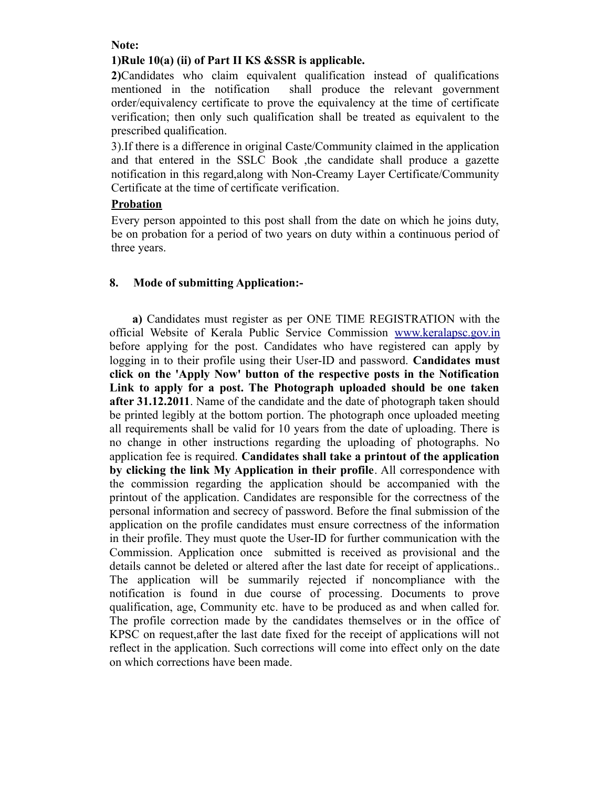#### **Note:**

# **1)Rule 10(a) (ii) of Part II KS &SSR is applicable.**

**2)**Candidates who claim equivalent qualification instead of qualifications mentioned in the notification shall produce the relevant government order/equivalency certificate to prove the equivalency at the time of certificate verification; then only such qualification shall be treated as equivalent to the prescribed qualification.

3).If there is a difference in original Caste/Community claimed in the application and that entered in the SSLC Book ,the candidate shall produce a gazette notification in this regard,along with Non-Creamy Layer Certificate/Community Certificate at the time of certificate verification.

### **Probation**

Every person appointed to this post shall from the date on which he joins duty, be on probation for a period of two years on duty within a continuous period of three years.

# **8. Mode of submitting Application:-**

 **a)** Candidates must register as per ONE TIME REGISTRATION with the official Website of Kerala Public Service Commission [www.keralapsc.gov.in](http://www.keralapsc.gov.in/) before applying for the post. Candidates who have registered can apply by logging in to their profile using their User-ID and password. **Candidates must click on the 'Apply Now' button of the respective posts in the Notification Link to apply for a post. The Photograph uploaded should be one taken after 31.12.2011**. Name of the candidate and the date of photograph taken should be printed legibly at the bottom portion. The photograph once uploaded meeting all requirements shall be valid for 10 years from the date of uploading. There is no change in other instructions regarding the uploading of photographs. No application fee is required. **Candidates shall take a printout of the application by clicking the link My Application in their profile**. All correspondence with the commission regarding the application should be accompanied with the printout of the application. Candidates are responsible for the correctness of the personal information and secrecy of password. Before the final submission of the application on the profile candidates must ensure correctness of the information in their profile. They must quote the User-ID for further communication with the Commission. Application once submitted is received as provisional and the details cannot be deleted or altered after the last date for receipt of applications.. The application will be summarily rejected if noncompliance with the notification is found in due course of processing. Documents to prove qualification, age, Community etc. have to be produced as and when called for. The profile correction made by the candidates themselves or in the office of KPSC on request,after the last date fixed for the receipt of applications will not reflect in the application. Such corrections will come into effect only on the date on which corrections have been made.